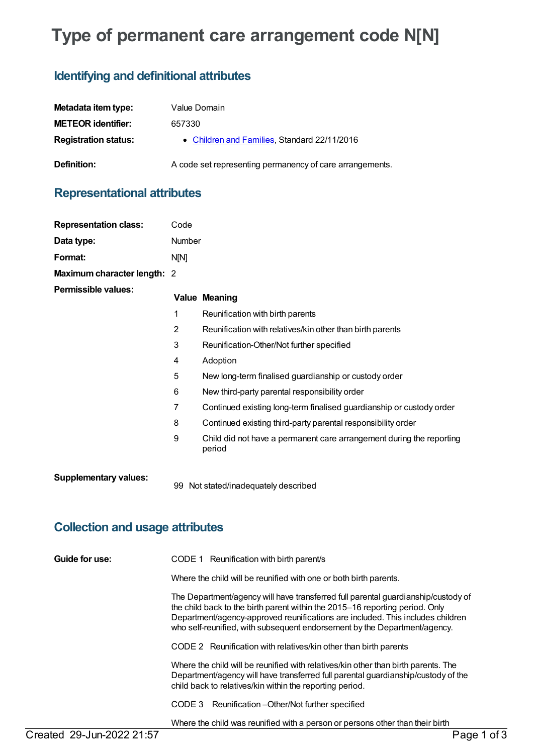# **Type of permanent care arrangement code N[N]**

## **Identifying and definitional attributes**

| Metadata item type:         | Value Domain                                             |
|-----------------------------|----------------------------------------------------------|
| <b>METEOR identifier:</b>   | 657330                                                   |
| <b>Registration status:</b> | • Children and Families, Standard 22/11/2016             |
| <b>Definition:</b>          | A code set representing permanency of care arrangements. |

# **Representational attributes**

| <b>Representation class:</b> | Code            |                                                                                |
|------------------------------|-----------------|--------------------------------------------------------------------------------|
| Data type:                   | Number          |                                                                                |
| Format:                      | N[N]            |                                                                                |
| Maximum character length: 2  |                 |                                                                                |
| Permissible values:          |                 | <b>Value Meaning</b>                                                           |
|                              | 1               | Reunification with birth parents                                               |
|                              | $\overline{2}$  | Reunification with relatives/kin other than birth parents                      |
|                              | 3               | Reunification-Other/Not further specified                                      |
|                              | 4               | Adoption                                                                       |
|                              | 5               | New long-term finalised guardianship or custody order                          |
|                              | $6\phantom{1}6$ | New third-party parental responsibility order                                  |
|                              | $\overline{7}$  | Continued existing long-term finalised guardianship or custody order           |
|                              | 8               | Continued existing third-party parental responsibility order                   |
|                              | 9               | Child did not have a permanent care arrangement during the reporting<br>period |
| <b>Supplementary values:</b> | 99              | Not stated/inadequately described                                              |

## **Collection and usage attributes**

| Guide for use: | CODE 1 Reunification with birth parent/s                                                                                                                                                                                                                                                                                         |
|----------------|----------------------------------------------------------------------------------------------------------------------------------------------------------------------------------------------------------------------------------------------------------------------------------------------------------------------------------|
|                | Where the child will be reunified with one or both birth parents.                                                                                                                                                                                                                                                                |
|                | The Department/agency will have transferred full parental guardianship/custody of<br>the child back to the birth parent within the 2015–16 reporting period. Only<br>Department/agency-approved reunifications are included. This includes children<br>who self-reunified, with subsequent endorsement by the Department/agency. |
|                | CODE 2 Reunification with relatives/kin other than birth parents                                                                                                                                                                                                                                                                 |
|                | Where the child will be reunified with relatives/kin other than birth parents. The<br>Department/agency will have transferred full parental guardianship/custody of the<br>child back to relatives/kin within the reporting period.                                                                                              |
|                | CODE 3 Reunification - Other/Not further specified                                                                                                                                                                                                                                                                               |
|                | Where the child was reunified with a person or persons other than their birth                                                                                                                                                                                                                                                    |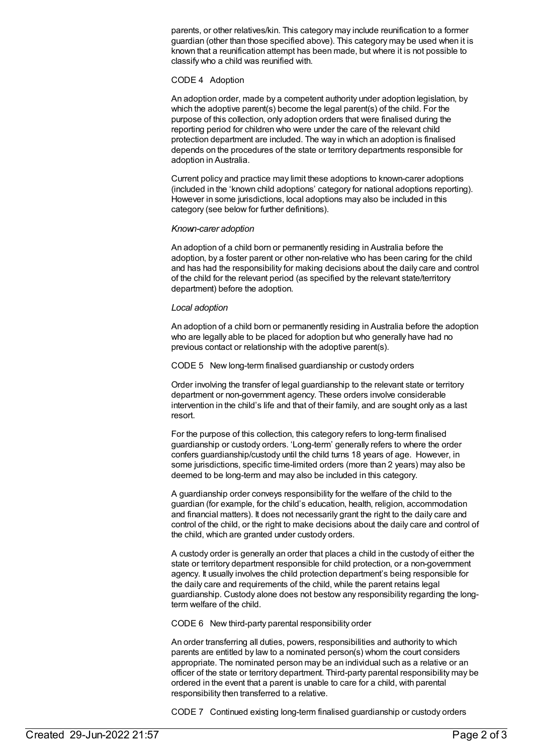parents, or other relatives/kin. This category may include reunification to a former guardian (other than those specified above). This category may be used when it is known that a reunification attempt has been made, but where it is not possible to classify who a child was reunified with.

#### CODE 4 Adoption

An adoption order, made by a competent authority under adoption legislation, by which the adoptive parent(s) become the legal parent(s) of the child. For the purpose of this collection, only adoption orders that were finalised during the reporting period for children who were under the care of the relevant child protection department are included. The way in which an adoption is finalised depends on the procedures of the state or territory departments responsible for adoption in Australia.

Current policy and practice may limit these adoptions to known-carer adoptions (included in the 'known child adoptions' category for national adoptions reporting). However in some jurisdictions, local adoptions may also be included in this category (see below for further definitions).

#### *Known-carer adoption*

An adoption of a child born or permanently residing in Australia before the adoption, by a foster parent or other non-relative who has been caring for the child and has had the responsibility for making decisions about the daily care and control of the child for the relevant period (as specified by the relevant state/territory department) before the adoption.

#### *Local adoption*

An adoption of a child born or permanently residing in Australia before the adoption who are legally able to be placed for adoption but who generally have had no previous contact or relationship with the adoptive parent(s).

CODE 5 New long-term finalised guardianship or custody orders

Order involving the transfer of legal guardianship to the relevant state or territory department or non-government agency. These orders involve considerable intervention in the child's life and that of their family, and are sought only as a last resort.

For the purpose of this collection, this category refers to long-term finalised guardianship or custody orders. 'Long-term' generally refers to where the order confers guardianship/custody until the child turns 18 years of age. However, in some jurisdictions, specific time-limited orders (more than 2 years) may also be deemed to be long-term and may also be included in this category.

A guardianship order conveys responsibility for the welfare of the child to the guardian (for example, for the child's education, health, religion, accommodation and financial matters). It does not necessarily grant the right to the daily care and control of the child, or the right to make decisions about the daily care and control of the child, which are granted under custody orders.

A custody order is generally an order that places a child in the custody of either the state or territory department responsible for child protection, or a non-government agency. It usually involves the child protection department's being responsible for the daily care and requirements of the child, while the parent retains legal guardianship. Custody alone does not bestow any responsibility regarding the longterm welfare of the child.

CODE 6 New third-party parental responsibility order

An order transferring all duties, powers, responsibilities and authority to which parents are entitled by law to a nominated person(s) whom the court considers appropriate. The nominated person may be an individual such as a relative or an officer of the state or territory department. Third-party parental responsibility may be ordered in the event that a parent is unable to care for a child, with parental responsibility then transferred to a relative.

CODE 7 Continued existing long-term finalised guardianship or custody orders